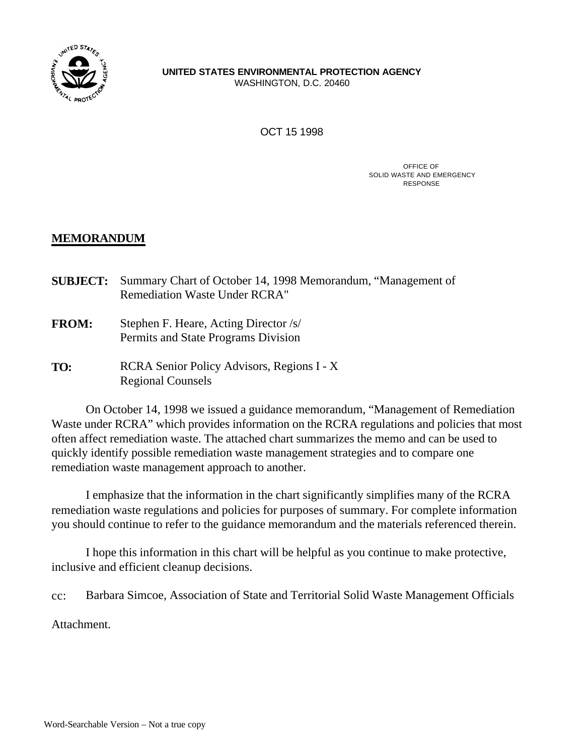

# **UNITED STATES ENVIRONMENTAL PROTECTION AGENCY**

WASHINGTON, D.C. 20460

OCT 15 1998

OFFICE OF SOLID WASTE AND EMERGENCY RESPONSE

# **MEMORANDUM**

- **SUBJECT:** Summary Chart of October 14, 1998 Memorandum, "Management of Remediation Waste Under RCRA"
- **FROM:** Stephen F. Heare, Acting Director /s/ Permits and State Programs Division
- **TO:** RCRA Senior Policy Advisors, Regions I X Regional Counsels

On October 14, 1998 we issued a guidance memorandum, "Management of Remediation Waste under RCRA" which provides information on the RCRA regulations and policies that most often affect remediation waste. The attached chart summarizes the memo and can be used to quickly identify possible remediation waste management strategies and to compare one remediation waste management approach to another.

I emphasize that the information in the chart significantly simplifies many of the RCRA remediation waste regulations and policies for purposes of summary. For complete information you should continue to refer to the guidance memorandum and the materials referenced therein.

I hope this information in this chart will be helpful as you continue to make protective, inclusive and efficient cleanup decisions.

cc: Barbara Simcoe, Association of State and Territorial Solid Waste Management Officials

Attachment.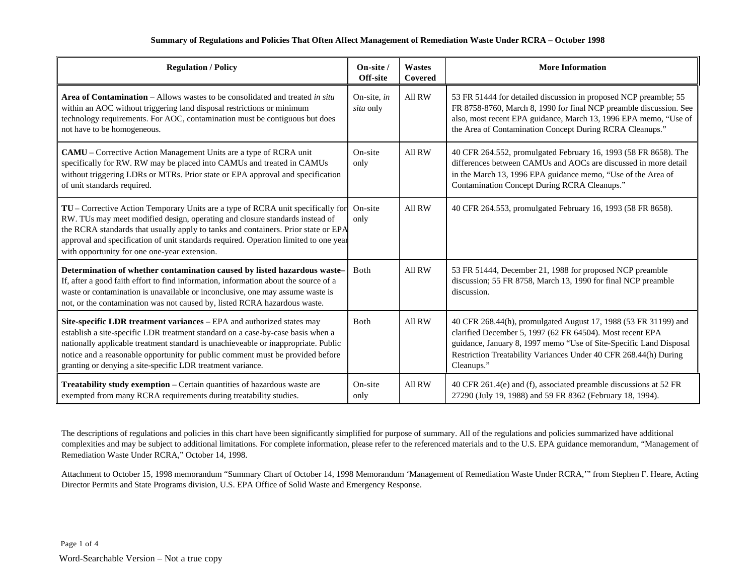## **Summary of Regulations and Policies That Often Affect Management of Remediation Waste Under RCRA – October 1998**

| <b>Regulation / Policy</b>                                                                                                                                                                                                                                                                                                                                                                      | On-site /<br>Off-site    | <b>Wastes</b><br>Covered | <b>More Information</b>                                                                                                                                                                                                                                                              |
|-------------------------------------------------------------------------------------------------------------------------------------------------------------------------------------------------------------------------------------------------------------------------------------------------------------------------------------------------------------------------------------------------|--------------------------|--------------------------|--------------------------------------------------------------------------------------------------------------------------------------------------------------------------------------------------------------------------------------------------------------------------------------|
| <b>Area of Contamination</b> – Allows wastes to be consolidated and treated in situ<br>within an AOC without triggering land disposal restrictions or minimum<br>technology requirements. For AOC, contamination must be contiguous but does<br>not have to be homogeneous.                                                                                                                     | On-site, in<br>situ only | All RW                   | 53 FR 51444 for detailed discussion in proposed NCP preamble; 55<br>FR 8758-8760, March 8, 1990 for final NCP preamble discussion. See<br>also, most recent EPA guidance, March 13, 1996 EPA memo, "Use of<br>the Area of Contamination Concept During RCRA Cleanups."               |
| CAMU - Corrective Action Management Units are a type of RCRA unit<br>specifically for RW. RW may be placed into CAMUs and treated in CAMUs<br>without triggering LDRs or MTRs. Prior state or EPA approval and specification<br>of unit standards required.                                                                                                                                     | On-site<br>only          | All RW                   | 40 CFR 264.552, promulgated February 16, 1993 (58 FR 8658). The<br>differences between CAMUs and AOCs are discussed in more detail<br>in the March 13, 1996 EPA guidance memo, "Use of the Area of<br><b>Contamination Concept During RCRA Cleanups."</b>                            |
| TU - Corrective Action Temporary Units are a type of RCRA unit specifically for<br>RW. TUs may meet modified design, operating and closure standards instead of<br>the RCRA standards that usually apply to tanks and containers. Prior state or EPA<br>approval and specification of unit standards required. Operation limited to one year<br>with opportunity for one one-year extension.    | On-site<br>only          | All RW                   | 40 CFR 264.553, promulgated February 16, 1993 (58 FR 8658).                                                                                                                                                                                                                          |
| Determination of whether contamination caused by listed hazardous waste-<br>If, after a good faith effort to find information, information about the source of a<br>waste or contamination is unavailable or inconclusive, one may assume waste is<br>not, or the contamination was not caused by, listed RCRA hazardous waste.                                                                 | Both                     | All RW                   | 53 FR 51444, December 21, 1988 for proposed NCP preamble<br>discussion; 55 FR 8758, March 13, 1990 for final NCP preamble<br>discussion.                                                                                                                                             |
| Site-specific LDR treatment variances - EPA and authorized states may<br>establish a site-specific LDR treatment standard on a case-by-case basis when a<br>nationally applicable treatment standard is unachieveable or inappropriate. Public<br>notice and a reasonable opportunity for public comment must be provided before<br>granting or denying a site-specific LDR treatment variance. | Both                     | All RW                   | 40 CFR 268.44(h), promulgated August 17, 1988 (53 FR 31199) and<br>clarified December 5, 1997 (62 FR 64504). Most recent EPA<br>guidance, January 8, 1997 memo "Use of Site-Specific Land Disposal<br>Restriction Treatability Variances Under 40 CFR 268.44(h) During<br>Cleanups." |
| Treatability study exemption - Certain quantities of hazardous waste are<br>exempted from many RCRA requirements during treatability studies.                                                                                                                                                                                                                                                   | On-site<br>only          | All RW                   | 40 CFR 261.4(e) and (f), associated preamble discussions at 52 FR<br>27290 (July 19, 1988) and 59 FR 8362 (February 18, 1994).                                                                                                                                                       |

The descriptions of regulations and policies in this chart have been significantly simplified for purpose of summary. All of the regulations and policies summarized have additional complexities and may be subject to additional limitations. For complete information, please refer to the referenced materials and to the U.S. EPA guidance memorandum, "Management of Remediation Waste Under RCRA," October 14, 1998.

Attachment to October 15, 1998 memorandum "Summary Chart of October 14, 1998 Memorandum 'Management of Remediation Waste Under RCRA,'" from Stephen F. Heare, Acting Director Permits and State Programs division, U.S. EPA Office of Solid Waste and Emergency Response.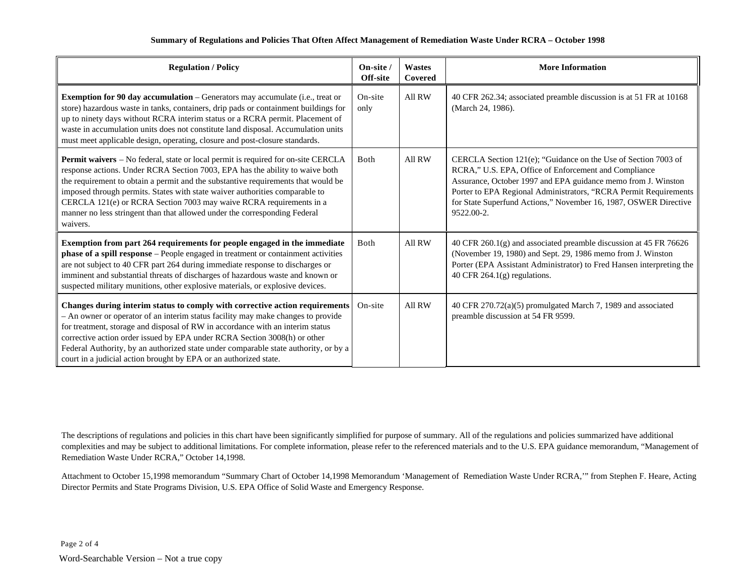## **Summary of Regulations and Policies That Often Affect Management of Remediation Waste Under RCRA – October 1998**

| <b>Regulation / Policy</b>                                                                                                                                                                                                                                                                                                                                                                                                                                                                             | On-site /<br>Off-site | Wastes<br>Covered | <b>More Information</b>                                                                                                                                                                                                                                                                                                                        |
|--------------------------------------------------------------------------------------------------------------------------------------------------------------------------------------------------------------------------------------------------------------------------------------------------------------------------------------------------------------------------------------------------------------------------------------------------------------------------------------------------------|-----------------------|-------------------|------------------------------------------------------------------------------------------------------------------------------------------------------------------------------------------------------------------------------------------------------------------------------------------------------------------------------------------------|
| <b>Exemption for 90 day accumulation</b> – Generators may accumulate (i.e., treat or<br>store) hazardous waste in tanks, containers, drip pads or containment buildings for<br>up to ninety days without RCRA interim status or a RCRA permit. Placement of<br>waste in accumulation units does not constitute land disposal. Accumulation units<br>must meet applicable design, operating, closure and post-closure standards.                                                                        | On-site<br>only       | All RW            | 40 CFR 262.34; associated preamble discussion is at 51 FR at 10168<br>(March 24, 1986).                                                                                                                                                                                                                                                        |
| Permit waivers - No federal, state or local permit is required for on-site CERCLA<br>response actions. Under RCRA Section 7003, EPA has the ability to waive both<br>the requirement to obtain a permit and the substantive requirements that would be<br>imposed through permits. States with state waiver authorities comparable to<br>CERCLA 121(e) or RCRA Section 7003 may waive RCRA requirements in a<br>manner no less stringent than that allowed under the corresponding Federal<br>waivers. | Both                  | All RW            | CERCLA Section 121(e); "Guidance on the Use of Section 7003 of<br>RCRA," U.S. EPA, Office of Enforcement and Compliance<br>Assurance, October 1997 and EPA guidance memo from J. Winston<br>Porter to EPA Regional Administrators, "RCRA Permit Requirements<br>for State Superfund Actions," November 16, 1987, OSWER Directive<br>9522.00-2. |
| Exemption from part 264 requirements for people engaged in the immediate<br>phase of a spill response - People engaged in treatment or containment activities<br>are not subject to 40 CFR part 264 during immediate response to discharges or<br>imminent and substantial threats of discharges of hazardous waste and known or<br>suspected military munitions, other explosive materials, or explosive devices.                                                                                     | <b>B</b> oth          | All RW            | 40 CFR 260.1(g) and associated preamble discussion at 45 FR 76626<br>(November 19, 1980) and Sept. 29, 1986 memo from J. Winston<br>Porter (EPA Assistant Administrator) to Fred Hansen interpreting the<br>40 CFR $264.1(g)$ regulations.                                                                                                     |
| Changes during interim status to comply with corrective action requirements<br>- An owner or operator of an interim status facility may make changes to provide<br>for treatment, storage and disposal of RW in accordance with an interim status<br>corrective action order issued by EPA under RCRA Section 3008(h) or other<br>Federal Authority, by an authorized state under comparable state authority, or by a<br>court in a judicial action brought by EPA or an authorized state.             | On-site               | All RW            | 40 CFR 270.72(a)(5) promulgated March 7, 1989 and associated<br>preamble discussion at 54 FR 9599.                                                                                                                                                                                                                                             |

The descriptions of regulations and policies in this chart have been significantly simplified for purpose of summary. All of the regulations and policies summarized have additional complexities and may be subject to additional limitations. For complete information, please refer to the referenced materials and to the U.S. EPA guidance memorandum, "Management of Remediation Waste Under RCRA," October 14,1998.

Attachment to October 15,1998 memorandum "Summary Chart of October 14,1998 Memorandum 'Management of Remediation Waste Under RCRA,'" from Stephen F. Heare, Acting Director Permits and State Programs Division, U.S. EPA Office of Solid Waste and Emergency Response.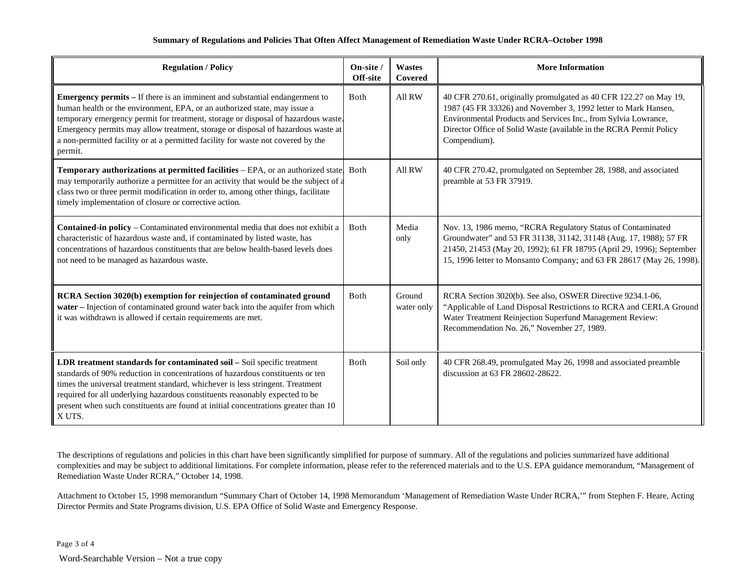## **Summary of Regulations and Policies That Often Affect Management of Remediation Waste Under RCRA–October 1998**

| <b>Regulation / Policy</b>                                                                                                                                                                                                                                                                                                                                                                                                              | On-site /<br>Off-site | Wastes<br>Covered    | <b>More Information</b>                                                                                                                                                                                                                                                                       |
|-----------------------------------------------------------------------------------------------------------------------------------------------------------------------------------------------------------------------------------------------------------------------------------------------------------------------------------------------------------------------------------------------------------------------------------------|-----------------------|----------------------|-----------------------------------------------------------------------------------------------------------------------------------------------------------------------------------------------------------------------------------------------------------------------------------------------|
| <b>Emergency permits – If there is an imminent and substantial endangerment to</b><br>human health or the environment, EPA, or an authorized state, may issue a<br>temporary emergency permit for treatment, storage or disposal of hazardous waste.<br>Emergency permits may allow treatment, storage or disposal of hazardous waste at<br>a non-permitted facility or at a permitted facility for waste not covered by the<br>permit. | Both                  | All RW               | 40 CFR 270.61, originally promulgated as 40 CFR 122.27 on May 19,<br>1987 (45 FR 33326) and November 3, 1992 letter to Mark Hansen,<br>Environmental Products and Services Inc., from Sylvia Lowrance,<br>Director Office of Solid Waste (available in the RCRA Permit Policy<br>Compendium). |
| Temporary authorizations at permitted facilities - EPA, or an authorized state.<br>may temporarily authorize a permittee for an activity that would be the subject of a<br>class two or three permit modification in order to, among other things, facilitate<br>timely implementation of closure or corrective action.                                                                                                                 | Both                  | All RW               | 40 CFR 270.42, promulgated on September 28, 1988, and associated<br>preamble at 53 FR 37919.                                                                                                                                                                                                  |
| Contained-in policy - Contaminated environmental media that does not exhibit a<br>characteristic of hazardous waste and, if contaminated by listed waste, has<br>concentrations of hazardous constituents that are below health-based levels does<br>not need to be managed as hazardous waste.                                                                                                                                         | Both                  | Media<br>only        | Nov. 13, 1986 memo, "RCRA Regulatory Status of Contaminated<br>Groundwater" and 53 FR 31138, 31142, 31148 (Aug. 17, 1988); 57 FR<br>21450, 21453 (May 20, 1992); 61 FR 18795 (April 29, 1996); September<br>15, 1996 letter to Monsanto Company; and 63 FR 28617 (May 26, 1998).              |
| RCRA Section 3020(b) exemption for reinjection of contaminated ground<br>water - Injection of contaminated ground water back into the aquifer from which<br>it was withdrawn is allowed if certain requirements are met.                                                                                                                                                                                                                | Both                  | Ground<br>water only | RCRA Section 3020(b). See also, OSWER Directive 9234.1-06,<br>"Applicable of Land Disposal Restrictions to RCRA and CERLA Ground<br>Water Treatment Reinjection Superfund Management Review:<br>Recommendation No. 26," November 27, 1989.                                                    |
| LDR treatment standards for contaminated soil - Soil specific treatment<br>standards of 90% reduction in concentrations of hazardous constituents or ten<br>times the universal treatment standard, whichever is less stringent. Treatment<br>required for all underlying hazardous constituents reasonably expected to be<br>present when such constituents are found at initial concentrations greater than 10<br>X UTS.              | Both                  | Soil only            | 40 CFR 268.49, promulgated May 26, 1998 and associated preamble<br>discussion at 63 FR 28602-28622.                                                                                                                                                                                           |

The descriptions of regulations and policies in this chart have been significantly simplified for purpose of summary. All of the regulations and policies summarized have additional complexities and may be subject to additional limitations. For complete information, please refer to the referenced materials and to the U.S. EPA guidance memorandum, "Management of Remediation Waste Under RCRA," October 14, 1998.

Attachment to October 15, 1998 memorandum "Summary Chart of October 14, 1998 Memorandum 'Management of Remediation Waste Under RCRA,'" from Stephen F. Heare, Acting Director Permits and State Programs division, U.S. EPA Office of Solid Waste and Emergency Response.